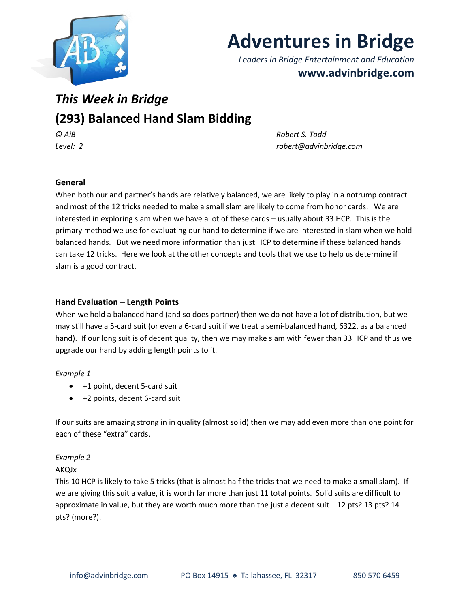

# **Adventures in Bridge**

*Leaders in Bridge Entertainment and Education* **www.advinbridge.com**

## *This Week in Bridge*

### **(293) Balanced Hand Slam Bidding**

*© AiB Robert S. Todd Level: 2 [robert@advinbridge.com](mailto:robert@advinbridge.com)*

#### **General**

When both our and partner's hands are relatively balanced, we are likely to play in a notrump contract and most of the 12 tricks needed to make a small slam are likely to come from honor cards. We are interested in exploring slam when we have a lot of these cards – usually about 33 HCP. This is the primary method we use for evaluating our hand to determine if we are interested in slam when we hold balanced hands. But we need more information than just HCP to determine if these balanced hands can take 12 tricks. Here we look at the other concepts and tools that we use to help us determine if slam is a good contract.

#### **Hand Evaluation – Length Points**

When we hold a balanced hand (and so does partner) then we do not have a lot of distribution, but we may still have a 5-card suit (or even a 6-card suit if we treat a semi-balanced hand, 6322, as a balanced hand). If our long suit is of decent quality, then we may make slam with fewer than 33 HCP and thus we upgrade our hand by adding length points to it.

#### *Example 1*

- +1 point, decent 5-card suit
- +2 points, decent 6-card suit

If our suits are amazing strong in in quality (almost solid) then we may add even more than one point for each of these "extra" cards.

#### *Example 2*

#### AKQJx

This 10 HCP is likely to take 5 tricks (that is almost half the tricks that we need to make a small slam). If we are giving this suit a value, it is worth far more than just 11 total points. Solid suits are difficult to approximate in value, but they are worth much more than the just a decent suit – 12 pts? 13 pts? 14 pts? (more?).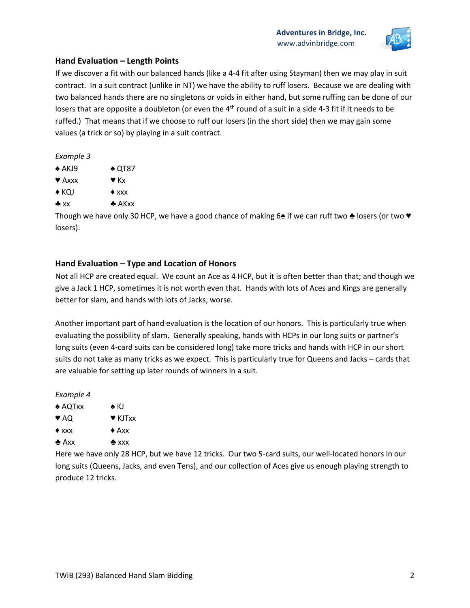

#### **Hand Evaluation – Length Points**

If we discover a fit with our balanced hands (like a 4-4 fit after using Stayman) then we may play in suit contract. In a suit contract (unlike in NT) we have the ability to ruff losers. Because we are dealing with two balanced hands there are no singletons or voids in either hand, but some ruffing can be done of our losers that are opposite a doubleton (or even the 4<sup>th</sup> round of a suit in a side 4-3 fit if it needs to be ruffed.) That means that if we choose to ruff our losers (in the short side) then we may gain some values (a trick or so) by playing in a suit contract.

*Example 3*

- ♠ AKJ9 ♠ QT87
- $\blacktriangledown$  Axxx  $\blacktriangledown$  Kx
- $\triangle$  KQJ  $\triangle$  xxx
- $\clubsuit$  xx  $\clubsuit$  AKxx

Though we have only 30 HCP, we have a good chance of making 6♠ if we can ruff two ♣ losers (or two ♥ losers).

#### **Hand Evaluation – Type and Location of Honors**

Not all HCP are created equal. We count an Ace as 4 HCP, but it is often better than that; and though we give a Jack 1 HCP, sometimes it is not worth even that. Hands with lots of Aces and Kings are generally better for slam, and hands with lots of Jacks, worse.

Another important part of hand evaluation is the location of our honors. This is particularly true when evaluating the possibility of slam. Generally speaking, hands with HCPs in our long suits or partner's long suits (even 4-card suits can be considered long) take more tricks and hands with HCP in our short suits do not take as many tricks as we expect. This is particularly true for Queens and Jacks – cards that are valuable for setting up later rounds of winners in a suit.

*Example 4*

- ♠ AQTxx ♠ KJ
- ♥ AQ ♥ KJTxx
- $\triangle$  xxx  $\triangle$  Axx
- ♣ Axx ♣ xxx

Here we have only 28 HCP, but we have 12 tricks. Our two 5-card suits, our well-located honors in our long suits (Queens, Jacks, and even Tens), and our collection of Aces give us enough playing strength to produce 12 tricks.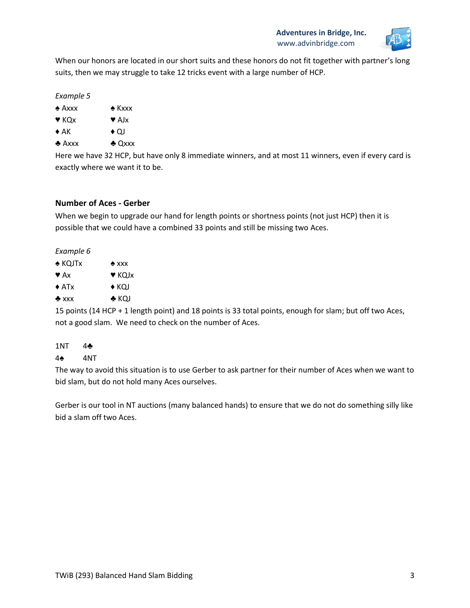

When our honors are located in our short suits and these honors do not fit together with partner's long suits, then we may struggle to take 12 tricks event with a large number of HCP.

#### *Example 5*

- ♠ Axxx ♠ Kxxx
- $\blacktriangledown$  KQx  $\blacktriangledown$  AJx
- $\triangle$  AK  $\longrightarrow$  QJ
- ♣ Axxx ♣ Qxxx

Here we have 32 HCP, but have only 8 immediate winners, and at most 11 winners, even if every card is exactly where we want it to be.

#### **Number of Aces - Gerber**

When we begin to upgrade our hand for length points or shortness points (not just HCP) then it is possible that we could have a combined 33 points and still be missing two Aces.

#### *Example 6*

| $\triangle$ KQJTx       | $*$ xxx                      |
|-------------------------|------------------------------|
| $\blacktriangledown$ Ax | $\blacktriangledown$ KOJ $x$ |
| $\triangle$ ATx         | $\blacklozenge$ KOJ          |
| $*$ xxx                 | $\clubsuit$ KQJ              |

15 points (14 HCP + 1 length point) and 18 points is 33 total points, enough for slam; but off two Aces, not a good slam. We need to check on the number of Aces.

### 1NT 4♣

#### 4♠ 4NT

The way to avoid this situation is to use Gerber to ask partner for their number of Aces when we want to bid slam, but do not hold many Aces ourselves.

Gerber is our tool in NT auctions (many balanced hands) to ensure that we do not do something silly like bid a slam off two Aces.